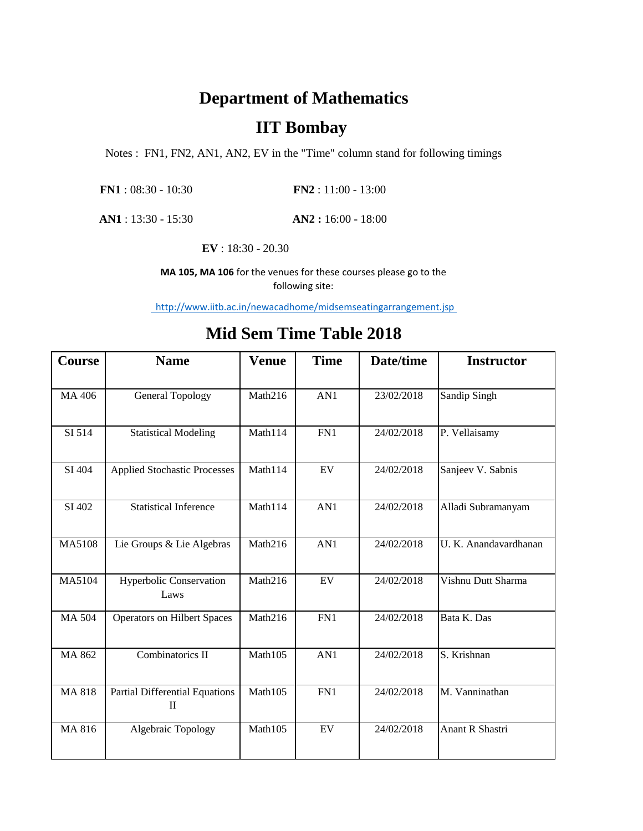## **Department of Mathematics**

## **IIT Bombay**

Notes : FN1, FN2, AN1, AN2, EV in the "Time" column stand for following timings

**AN2 :** 16:00 - 18:00 **AN1** : 13:30 - 15:30

**EV** : 18:30 - 20.30

**MA 105, MA 106** for the venues for these courses please go to the following site:

http://www.iitb.ac.in/newacadhome/midsemseatingarrangement.jsp

## **Mid Sem Time Table 2018**

| Course        | <b>Name</b>                                           | <b>Venue</b> | <b>Time</b> | Date/time  | <b>Instructor</b>     |
|---------------|-------------------------------------------------------|--------------|-------------|------------|-----------------------|
|               |                                                       |              |             |            |                       |
| MA 406        | <b>General Topology</b>                               | Math216      | AN1         | 23/02/2018 | Sandip Singh          |
| SI 514        | <b>Statistical Modeling</b>                           | Math114      | FN1         | 24/02/2018 | P. Vellaisamy         |
| SI 404        | <b>Applied Stochastic Processes</b>                   | Math114      | EV          | 24/02/2018 | Sanjeev V. Sabnis     |
| SI 402        | <b>Statistical Inference</b>                          | Math114      | AN1         | 24/02/2018 | Alladi Subramanyam    |
| MA5108        | Lie Groups & Lie Algebras                             | Math216      | AN1         | 24/02/2018 | U. K. Anandavardhanan |
| MA5104        | <b>Hyperbolic Conservation</b><br>Laws                | Math216      | EV          | 24/02/2018 | Vishnu Dutt Sharma    |
| <b>MA 504</b> | <b>Operators on Hilbert Spaces</b>                    | Math216      | FN1         | 24/02/2018 | Bata K. Das           |
| MA 862        | Combinatorics II                                      | Math105      | AN1         | 24/02/2018 | S. Krishnan           |
| <b>MA 818</b> | <b>Partial Differential Equations</b><br>$\mathbf{I}$ | Math105      | FN1         | 24/02/2018 | M. Vanninathan        |
| MA 816        | Algebraic Topology                                    | Math105      | ${\rm EV}$  | 24/02/2018 | Anant R Shastri       |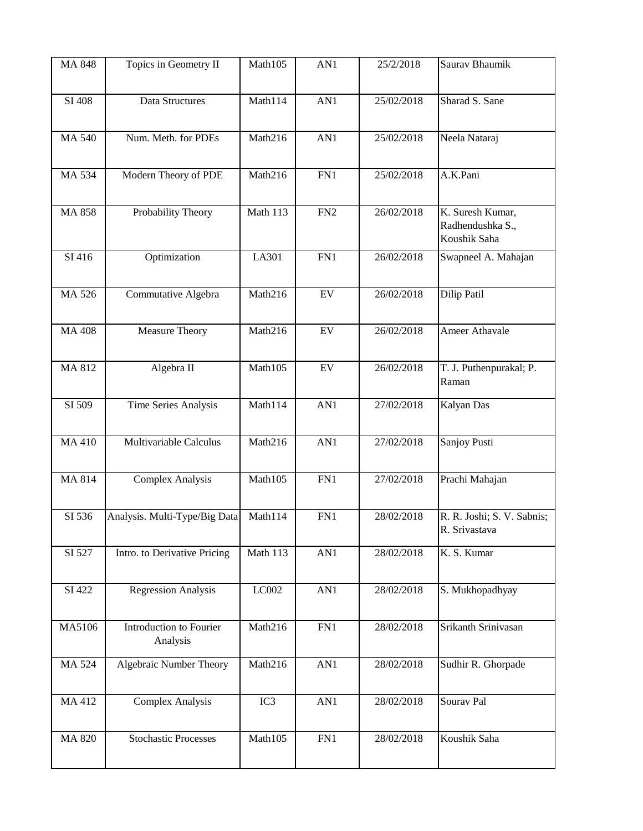| MA 848        | Topics in Geometry II         | Math105  | AN1             | 25/2/2018  | Saurav Bhaumik             |
|---------------|-------------------------------|----------|-----------------|------------|----------------------------|
|               |                               |          |                 |            |                            |
| SI 408        | Data Structures               | Math114  | AN1             | 25/02/2018 | Sharad S. Sane             |
|               |                               |          |                 |            |                            |
|               |                               |          |                 |            |                            |
| <b>MA 540</b> | Num. Meth. for PDEs           | Math216  | AN1             | 25/02/2018 | Neela Nataraj              |
|               |                               |          |                 |            |                            |
| MA 534        | Modern Theory of PDE          | Math216  | FN1             | 25/02/2018 | A.K.Pani                   |
|               |                               |          |                 |            |                            |
| <b>MA 858</b> | Probability Theory            | Math 113 | FN <sub>2</sub> | 26/02/2018 | K. Suresh Kumar,           |
|               |                               |          |                 |            | Radhendushka S.,           |
|               |                               |          |                 |            | Koushik Saha               |
| SI 416        | Optimization                  | LA301    | FN1             | 26/02/2018 | Swapneel A. Mahajan        |
|               |                               |          |                 |            |                            |
|               |                               |          |                 |            |                            |
| MA 526        | Commutative Algebra           | Math216  | EV              | 26/02/2018 | Dilip Patil                |
|               |                               |          |                 |            |                            |
| <b>MA 408</b> | <b>Measure Theory</b>         | Math216  | EV              | 26/02/2018 | Ameer Athavale             |
|               |                               |          |                 |            |                            |
|               |                               |          |                 |            |                            |
| MA 812        | Algebra II                    | Math105  | EV              | 26/02/2018 | T. J. Puthenpurakal; P.    |
|               |                               |          |                 |            | Raman                      |
| SI 509        | Time Series Analysis          | Math114  | AN1             | 27/02/2018 | Kalyan Das                 |
|               |                               |          |                 |            |                            |
| <b>MA 410</b> | Multivariable Calculus        | Math216  | AN1             | 27/02/2018 | Sanjoy Pusti               |
|               |                               |          |                 |            |                            |
|               |                               |          |                 |            |                            |
| <b>MA 814</b> | <b>Complex Analysis</b>       | Math105  | FN1             | 27/02/2018 | Prachi Mahajan             |
|               |                               |          |                 |            |                            |
| SI 536        | Analysis. Multi-Type/Big Data | Math114  | FN1             | 28/02/2018 | R. R. Joshi; S. V. Sabnis; |
|               |                               |          |                 |            | R. Srivastava              |
| SI 527        | Intro. to Derivative Pricing  | Math 113 | AN1             | 28/02/2018 | K. S. Kumar                |
|               |                               |          |                 |            |                            |
|               |                               |          |                 |            |                            |
| SI 422        | <b>Regression Analysis</b>    | LC002    | AN1             | 28/02/2018 | S. Mukhopadhyay            |
|               |                               |          |                 |            |                            |
| MA5106        | Introduction to Fourier       | Math216  | FN1             | 28/02/2018 | Srikanth Srinivasan        |
|               | Analysis                      |          |                 |            |                            |
|               |                               |          |                 |            |                            |
| MA 524        | Algebraic Number Theory       | Math216  | AN1             | 28/02/2018 | Sudhir R. Ghorpade         |
|               |                               |          |                 |            |                            |
| MA 412        | <b>Complex Analysis</b>       | IC3      | AN1             | 28/02/2018 | Sourav Pal                 |
|               |                               |          |                 |            |                            |
| <b>MA 820</b> | <b>Stochastic Processes</b>   | Math105  | FN1             | 28/02/2018 | Koushik Saha               |
|               |                               |          |                 |            |                            |
|               |                               |          |                 |            |                            |